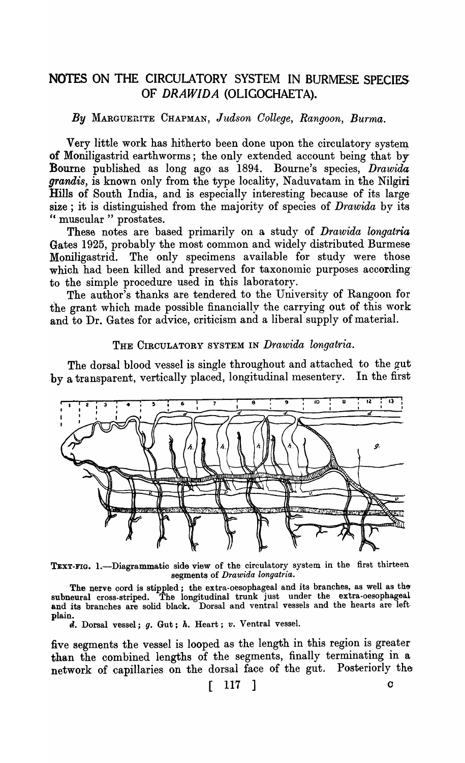## NOTES ON THE CIRCULATORY SYSTEM IN BURMESE SPECIES OF *DRAWIDA* (OLIGOCHAETA).

### *By* MARGUERITE CHAPMAN, *Judson College, Rangoon, Burma.*

Very little work has hitherto been done upon the circulatory system of Moniligastrid earthworms; the only extended account being that by Bourne published as long ago as 1894. Bourne's species, *Drawida grandis,* is known only from the type locality, Naduvatam in the Nilgiri Hills of South India, and is especially interesting because of its largesize; it is distinguished from the majority of species of *Drawida* by its " muscular " prostates.

These notes are based primarily on a study of *Drawida longatria*  Gates 1925, probably the most common and widely distributed Burmese Moniligastrid. The only specimens available for study were those which had been killed and preserved for taxonomic purposes accordingto the simple procedure used in this laboratory.

The author's thanks are tendered to the University of Rangoon for the grant which made possible financially the carrying out of this work and to Dr. Gates for advice, criticism and a liberal supply of material.

### THE CIRCULATORY SYSTEM IN *Drawida longatria.*

The dorsal blood vessel is single throughout and attached to the gut by a transparent, vertically placed, longitudinal mesentery. In the first



TEXT-FIG. 1.-Diagrammatic side view of the circulatory system in the first thirteen segments of *Drawida longatria.* 

The nerve cord is stippled; the extra-oesophageal and its branches, as well as the subneural cross-striped. The longitudinal trunk just under the extra-oesophageal and its branches are solid black. Dorsal and ventral vessels and the hearts are leftplain.

d. Dorsal vessel; g. Gut; *h.* Heart; *v.* Ventral vessel.

five segments the vessel is looped as the length in this region is greater than the combined lengths of the segments, finally terminating in a network of capillaries on the dorsal face of the gut. Posteriorly the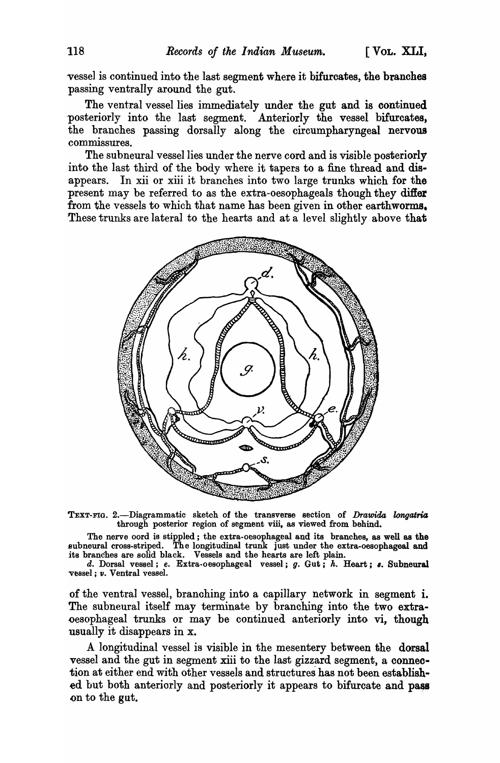vessel is continued into the last segment where it bifurcates, the branches passing ventrally around the gut.

The ventral vessel lies immediately under the gut and is continued posteriorly into the last segment. Anteriorly the vessel bifurcates, the branches passing dorsally along the circumpharyngeal nervous commissures.

The subneural vessel lies under the nerve cord and is visible posteriorly into the last third of the body where it tapers to a fine thread and disappears. In xii or xiii it branches into two large trunks which for the present may be referred to as the extra-oesophageals though they differ from the vessels to which that name has been given in other earthworms. These trunks are lateral to the hearts and at a level slightly above that



TEXT-FIG. 2.-Diagrammatic sketch of the transverse section of *Drawida longatria* through posterior region of segment viii, as viewed from behind.

The nerve oord is stippled; the extra-oesophageal and its branches, as well as the subneural cross-striped. The longitudinal trunk just under the extra-oesophageal and its branches are solid black. Vessels and the hearts are left plain.

d. Dorsal vessel; e. Extra-oesophageal vessel; g. Gut; h. Heart; s. Subneural vessel; *v.* Ventral vessel.

of the ventral vessel, branching into a capillary network in segment i. The subneural itself may terminate by branching into the two extraoesophageal trunks or may be continued anteriorly into vi, though usually it disappears in x.

A longitudinal vessel is visible in the mesentery between the dorsal vessel and the gut in segment xiii to the last gizzard segment, a connection at either end with other vessels and structures has not been established but both anteriorly and posteriorly it appears to bifurcate and pass on to the gut.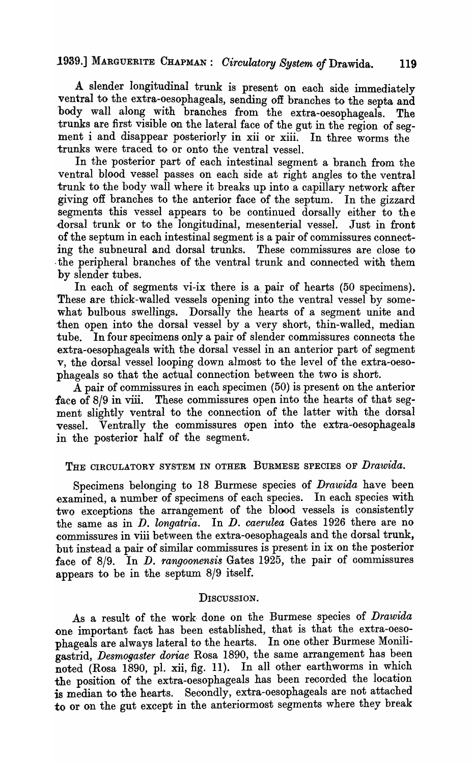# 1939.] MARGUERITE CHAPMAN: *Oirculatory System oj* Drawida. **119**

A slender longitudinal trunk is present on each side immediately ventral to the extra-oesophageals, sending off branches to the septa and body wall along with branches from the extra-oesophageals. The trunks are first visible on the lateral face of the gut in the region of segment i and disappear posteriorly in xii or xiii. In three worms the trunks were traced to or onto the ventral vessel.

In the posterior part of each intestinal segment a branch from the ventral blood vessel passes on each side at right angles to the ventral trunk to the body wall where it breaks up into a capillary network after giving off branches to the anterior face of the septum. In the gizzard segments this vessel appears to be continued dorsally either to the dorsal trunk or to the longitudinal, mesenterial vessel. Just in front of the septum in each intestinal segment is a pair of commissures connecting the subneural and dorsal trunks. These commissures are close to . the peripheral branches of the ventral trunk and connected with them by slender tubes.

In each of segments vi-ix there is a pair of hearts (50 specimens). 'These are thick-walled vessels opening into the ventral vessel by somewhat bulbous swellings. Dorsally the hearts of a segment unite and then open into the dorsal vessel by a very short, thin-walled, median tube. In four specimens only a pair of slender commissures connects the -extra-oesophageals with the dorsal vessel in an anterior part of segment v, the dorsal vessel looping down almost to the level of the extra-oesophageals so that the actual connection between the two is short.

A pair of commissures in each specimen (50) is present on the anterior face of 8/9 in viii. These commissures open into the hearts of that segment slightly ventral to the connection of the latter with the dorsal vessel. Ventrally the commissures open into the extra-oesophageals in the posterior half of the segment.

### THE CIRCULATORY SYSTEM IN OTHER BURMESE SPECIES OF *Drawida.*

Specimens belonging to 18 Burmese species of *Drawida* have been examined, a number of specimens of each species. In each species with two exceptions the arrangement of the blood vessels is consistently the same as in *D. longatria.* In *D. caerulea* Gates 1926 there are no ~ommissures in viii between the extra-oesophageals and the dorsal trunk, but instead a pair of similar commissures is present in ix on the posterior face of 8/9. In *D. rangoonensis* Gates 1925, the pair of oommissures appears to be in the septum 8/9 itself.

### DISCUSSION.

As a result of the work· done on the Burmese species of *Drawida*  .one important fact has been established, that is that the extra-oesophageals are always lateral to the hearts. In one other Burmese Moniligastrid, *Desmogaster doriae* Rosa 1890, the same arrangement has been noted (Rosa 1890, pl. xii, fig. 11). In all other earthworms in which the position of the extra-oesophageals has been recorded the location is median to the hearts. Secondly, extra-oesophageals are not attached to or on the gut except in the anteriormost segments where they break